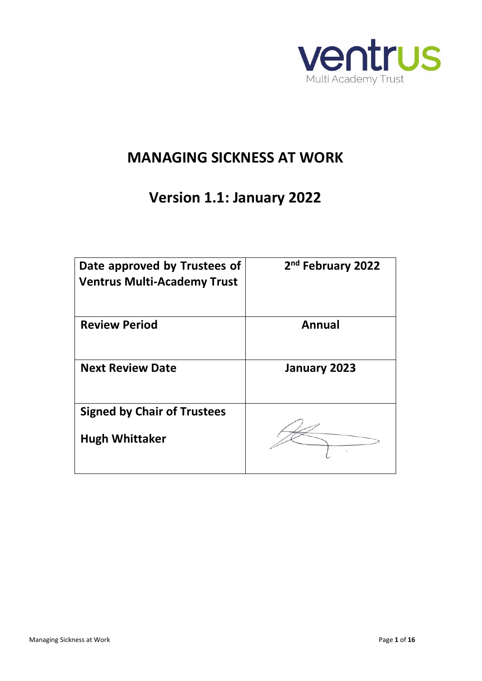

# **MANAGING SICKNESS AT WORK**

# **Version 1.1: January 2022**

| Date approved by Trustees of<br><b>Ventrus Multi-Academy Trust</b> | 2 <sup>nd</sup> February 2022 |
|--------------------------------------------------------------------|-------------------------------|
| <b>Review Period</b>                                               | Annual                        |
| <b>Next Review Date</b>                                            | January 2023                  |
| <b>Signed by Chair of Trustees</b>                                 |                               |
| <b>Hugh Whittaker</b>                                              |                               |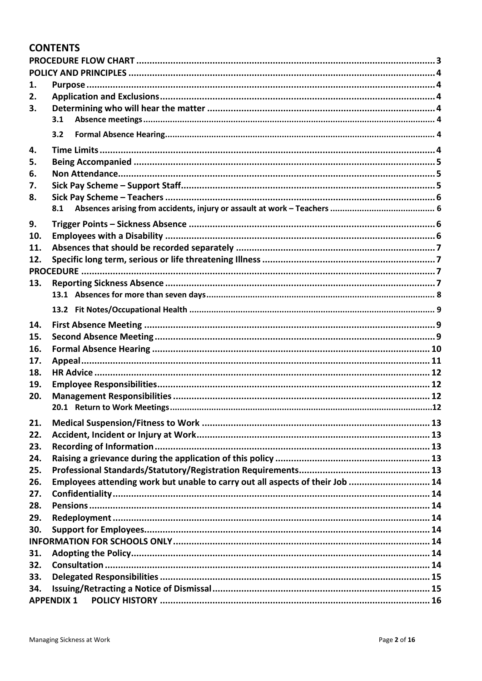#### **CONTENTS**

| 1.  |                   |                                                                               |  |  |  |  |
|-----|-------------------|-------------------------------------------------------------------------------|--|--|--|--|
| 2.  |                   |                                                                               |  |  |  |  |
| 3.  |                   |                                                                               |  |  |  |  |
|     | 3.1               |                                                                               |  |  |  |  |
|     | 3.2               |                                                                               |  |  |  |  |
| 4.  |                   |                                                                               |  |  |  |  |
| 5.  |                   |                                                                               |  |  |  |  |
| 6.  |                   |                                                                               |  |  |  |  |
| 7.  |                   |                                                                               |  |  |  |  |
| 8.  |                   |                                                                               |  |  |  |  |
|     | 8.1               |                                                                               |  |  |  |  |
|     |                   |                                                                               |  |  |  |  |
| 9.  |                   |                                                                               |  |  |  |  |
| 10. |                   |                                                                               |  |  |  |  |
| 11. |                   |                                                                               |  |  |  |  |
| 12. |                   |                                                                               |  |  |  |  |
|     |                   |                                                                               |  |  |  |  |
| 13. |                   |                                                                               |  |  |  |  |
|     |                   |                                                                               |  |  |  |  |
|     |                   |                                                                               |  |  |  |  |
| 14. |                   |                                                                               |  |  |  |  |
| 15. |                   |                                                                               |  |  |  |  |
| 16. |                   |                                                                               |  |  |  |  |
| 17. |                   |                                                                               |  |  |  |  |
| 18. |                   |                                                                               |  |  |  |  |
| 19. |                   |                                                                               |  |  |  |  |
| 20. |                   |                                                                               |  |  |  |  |
|     |                   |                                                                               |  |  |  |  |
|     |                   |                                                                               |  |  |  |  |
| 21. |                   |                                                                               |  |  |  |  |
| 22. |                   |                                                                               |  |  |  |  |
| 23. |                   |                                                                               |  |  |  |  |
| 24. |                   |                                                                               |  |  |  |  |
| 25. |                   |                                                                               |  |  |  |  |
| 26. |                   | Employees attending work but unable to carry out all aspects of their Job  14 |  |  |  |  |
| 27. |                   |                                                                               |  |  |  |  |
| 28. |                   |                                                                               |  |  |  |  |
| 29. |                   |                                                                               |  |  |  |  |
| 30. |                   |                                                                               |  |  |  |  |
|     |                   |                                                                               |  |  |  |  |
| 31. |                   |                                                                               |  |  |  |  |
| 32. |                   |                                                                               |  |  |  |  |
| 33. |                   |                                                                               |  |  |  |  |
| 34. |                   |                                                                               |  |  |  |  |
|     | <b>APPENDIX 1</b> |                                                                               |  |  |  |  |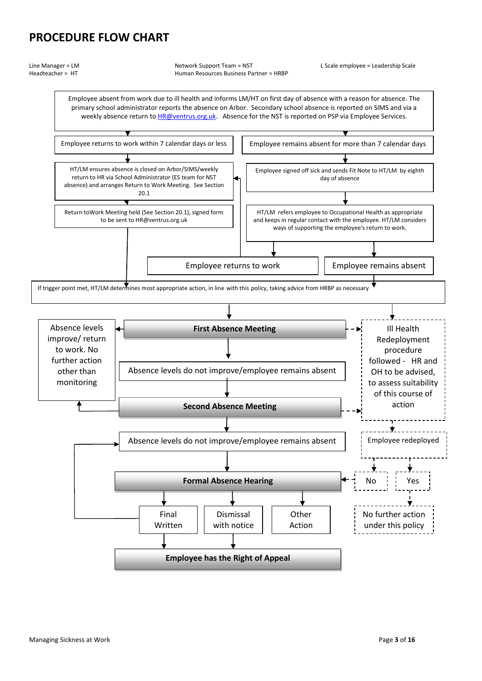### <span id="page-2-0"></span>**PROCEDURE FLOW CHART**

Line Manager = LM Network Support Team = NST L Scale employee = Leadership Scale Headteacher = HT Human Resources Business Partner = HRBP

Employee absent from work due to ill health and informs LM/HT on first day of absence with a reason for absence. The primary school administrator reports the absence on Arbor. Secondary school absence is reported on SIMS and via a weekly absence return to **HR@ventrus.org.uk**. Absence for the NST is reported on PSP via Employee Services.

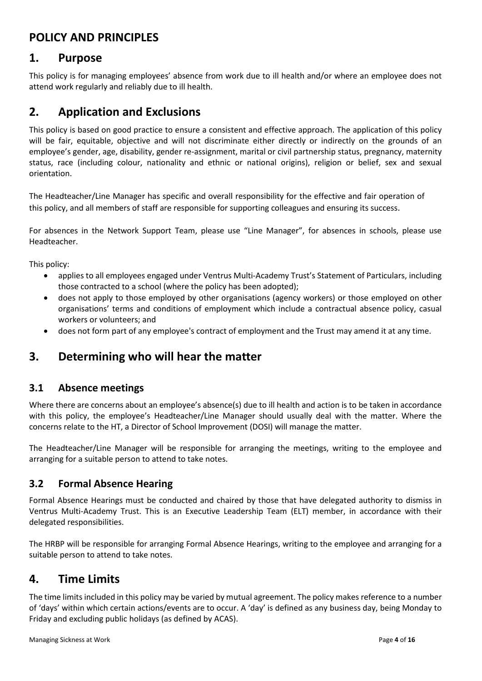### <span id="page-3-0"></span>**POLICY AND PRINCIPLES**

#### <span id="page-3-1"></span>**1. Purpose**

This policy is for managing employees' absence from work due to ill health and/or where an employee does not attend work regularly and reliably due to ill health.

### <span id="page-3-2"></span>**2. Application and Exclusions**

This policy is based on good practice to ensure a consistent and effective approach. The application of this policy will be fair, equitable, objective and will not discriminate either directly or indirectly on the grounds of an employee's gender, age, disability, gender re-assignment, marital or civil partnership status, pregnancy, maternity status, race (including colour, nationality and ethnic or national origins), religion or belief, sex and sexual orientation.

The Headteacher/Line Manager has specific and overall responsibility for the effective and fair operation of this policy, and all members of staff are responsible for supporting colleagues and ensuring its success.

For absences in the Network Support Team, please use "Line Manager", for absences in schools, please use Headteacher.

This policy:

- applies to all employees engaged under Ventrus Multi-Academy Trust's Statement of Particulars, including those contracted to a school (where the policy has been adopted);
- does not apply to those employed by other organisations (agency workers) or those employed on other organisations' terms and conditions of employment which include a contractual absence policy, casual workers or volunteers; and
- does not form part of any employee's contract of employment and the Trust may amend it at any time.

#### <span id="page-3-3"></span>**3. Determining who will hear the matter**

#### <span id="page-3-4"></span>**3.1 Absence meetings**

Where there are concerns about an employee's absence(s) due to ill health and action is to be taken in accordance with this policy, the employee's Headteacher/Line Manager should usually deal with the matter. Where the concerns relate to the HT, a Director of School Improvement (DOSI) will manage the matter.

The Headteacher/Line Manager will be responsible for arranging the meetings, writing to the employee and arranging for a suitable person to attend to take notes.

#### <span id="page-3-5"></span>**3.2 Formal Absence Hearing**

Formal Absence Hearings must be conducted and chaired by those that have delegated authority to dismiss in Ventrus Multi-Academy Trust. This is an Executive Leadership Team (ELT) member, in accordance with their delegated responsibilities.

The HRBP will be responsible for arranging Formal Absence Hearings, writing to the employee and arranging for a suitable person to attend to take notes.

### <span id="page-3-6"></span>**4. Time Limits**

The time limits included in this policy may be varied by mutual agreement. The policy makes reference to a number of 'days' within which certain actions/events are to occur. A 'day' is defined as any business day, being Monday to Friday and excluding public holidays (as defined by ACAS).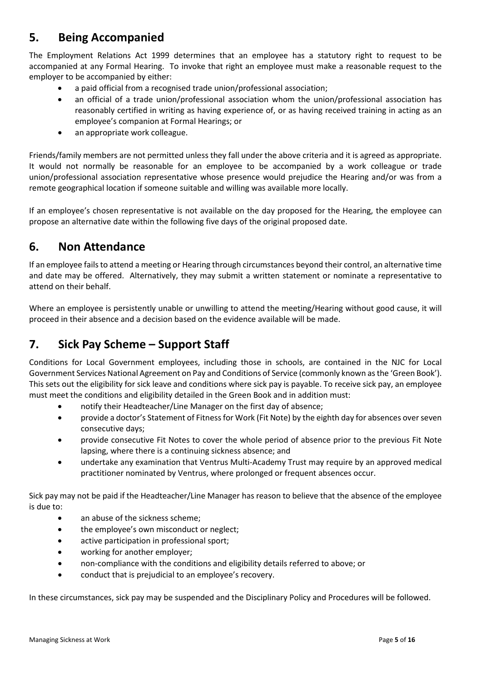# <span id="page-4-0"></span>**5. Being Accompanied**

The Employment Relations Act 1999 determines that an employee has a statutory right to request to be accompanied at any Formal Hearing. To invoke that right an employee must make a reasonable request to the employer to be accompanied by either:

- a paid official from a recognised trade union/professional association;
- an official of a trade union/professional association whom the union/professional association has reasonably certified in writing as having experience of, or as having received training in acting as an employee's companion at Formal Hearings; or
- an appropriate work colleague.

Friends/family members are not permitted unless they fall under the above criteria and it is agreed as appropriate. It would not normally be reasonable for an employee to be accompanied by a work colleague or trade union/professional association representative whose presence would prejudice the Hearing and/or was from a remote geographical location if someone suitable and willing was available more locally.

If an employee's chosen representative is not available on the day proposed for the Hearing, the employee can propose an alternative date within the following five days of the original proposed date.

### <span id="page-4-1"></span>**6. Non Attendance**

If an employee fails to attend a meeting or Hearing through circumstances beyond their control, an alternative time and date may be offered. Alternatively, they may submit a written statement or nominate a representative to attend on their behalf.

Where an employee is persistently unable or unwilling to attend the meeting/Hearing without good cause, it will proceed in their absence and a decision based on the evidence available will be made.

# <span id="page-4-2"></span>**7. Sick Pay Scheme – Support Staff**

Conditions for Local Government employees, including those in schools, are contained in the NJC for Local Government Services National Agreement on Pay and Conditions of Service (commonly known as the 'Green Book'). This sets out the eligibility for sick leave and conditions where sick pay is payable. To receive sick pay, an employee must meet the conditions and eligibility detailed in the Green Book and in addition must:

- notify their Headteacher/Line Manager on the first day of absence;
- provide a doctor's Statement of Fitness for Work (Fit Note) by the eighth day for absences over seven consecutive days;
- provide consecutive Fit Notes to cover the whole period of absence prior to the previous Fit Note lapsing, where there is a continuing sickness absence; and
- undertake any examination that Ventrus Multi-Academy Trust may require by an approved medical practitioner nominated by Ventrus, where prolonged or frequent absences occur.

Sick pay may not be paid if the Headteacher/Line Manager has reason to believe that the absence of the employee is due to:

- an abuse of the sickness scheme;
- the employee's own misconduct or neglect;
- active participation in professional sport;
- working for another employer;
- non-compliance with the conditions and eligibility details referred to above; or
- conduct that is prejudicial to an employee's recovery.

In these circumstances, sick pay may be suspended and the Disciplinary Policy and Procedures will be followed.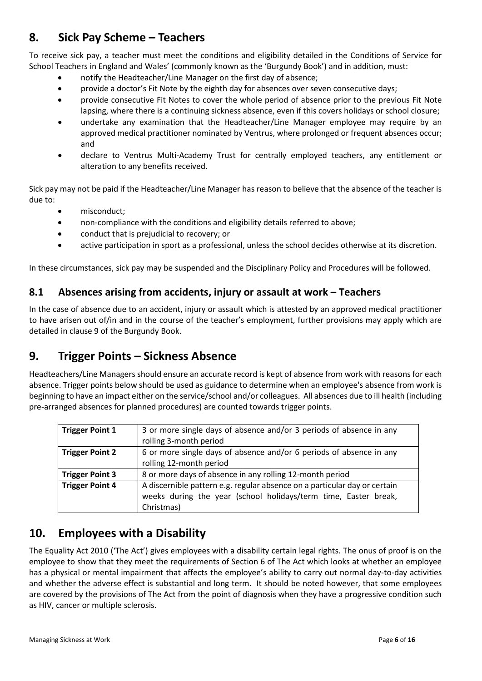# <span id="page-5-0"></span>**8. Sick Pay Scheme – Teachers**

To receive sick pay, a teacher must meet the conditions and eligibility detailed in the Conditions of Service for School Teachers in England and Wales' (commonly known as the 'Burgundy Book') and in addition, must:

- notify the Headteacher/Line Manager on the first day of absence;
- provide a doctor's Fit Note by the eighth day for absences over seven consecutive days;
- provide consecutive Fit Notes to cover the whole period of absence prior to the previous Fit Note lapsing, where there is a continuing sickness absence, even if this covers holidays or school closure;
- undertake any examination that the Headteacher/Line Manager employee may require by an approved medical practitioner nominated by Ventrus, where prolonged or frequent absences occur; and
- declare to Ventrus Multi-Academy Trust for centrally employed teachers, any entitlement or alteration to any benefits received.

Sick pay may not be paid if the Headteacher/Line Manager has reason to believe that the absence of the teacher is due to:

- misconduct:
- non-compliance with the conditions and eligibility details referred to above;
- conduct that is prejudicial to recovery; or
- active participation in sport as a professional, unless the school decides otherwise at its discretion.

In these circumstances, sick pay may be suspended and the Disciplinary Policy and Procedures will be followed.

#### <span id="page-5-1"></span>**8.1 Absences arising from accidents, injury or assault at work – Teachers**

In the case of absence due to an accident, injury or assault which is attested by an approved medical practitioner to have arisen out of/in and in the course of the teacher's employment, further provisions may apply which are detailed in clause 9 of the Burgundy Book.

# <span id="page-5-2"></span>**9. Trigger Points – Sickness Absence**

Headteachers/Line Managers should ensure an accurate record is kept of absence from work with reasons for each absence. Trigger points below should be used as guidance to determine when an employee's absence from work is beginning to have an impact either on the service/school and/or colleagues. All absences due to ill health (including pre-arranged absences for planned procedures) are counted towards trigger points.

| <b>Trigger Point 1</b> | 3 or more single days of absence and/or 3 periods of absence in any                                                                          |  |  |  |
|------------------------|----------------------------------------------------------------------------------------------------------------------------------------------|--|--|--|
|                        | rolling 3-month period                                                                                                                       |  |  |  |
| <b>Trigger Point 2</b> | 6 or more single days of absence and/or 6 periods of absence in any                                                                          |  |  |  |
|                        | rolling 12-month period                                                                                                                      |  |  |  |
| <b>Trigger Point 3</b> | 8 or more days of absence in any rolling 12-month period                                                                                     |  |  |  |
| <b>Trigger Point 4</b> | A discernible pattern e.g. regular absence on a particular day or certain<br>weeks during the year (school holidays/term time, Easter break, |  |  |  |
|                        | Christmas)                                                                                                                                   |  |  |  |

### <span id="page-5-3"></span>**10. Employees with a Disability**

The Equality Act 2010 ('The Act') gives employees with a disability certain legal rights. The onus of proof is on the employee to show that they meet the requirements of Section 6 of The Act which looks at whether an employee has a physical or mental impairment that affects the employee's ability to carry out normal day-to-day activities and whether the adverse effect is substantial and long term. It should be noted however, that some employees are covered by the provisions of The Act from the point of diagnosis when they have a progressive condition such as HIV, cancer or multiple sclerosis.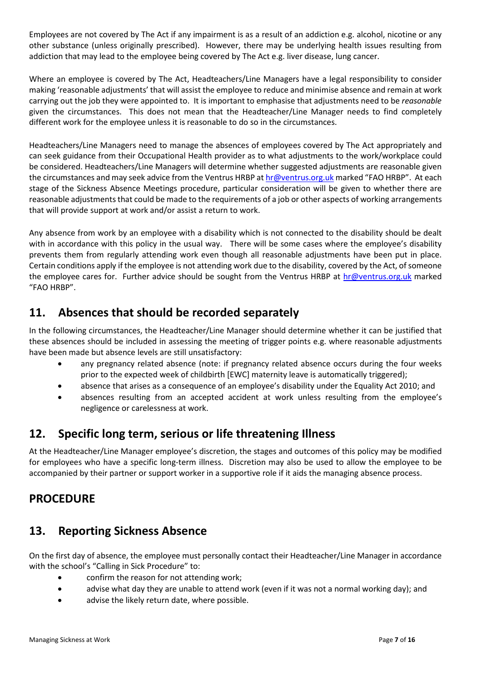Employees are not covered by The Act if any impairment is as a result of an addiction e.g. alcohol, nicotine or any other substance (unless originally prescribed). However, there may be underlying health issues resulting from addiction that may lead to the employee being covered by The Act e.g. liver disease, lung cancer.

Where an employee is covered by The Act, Headteachers/Line Managers have a legal responsibility to consider making 'reasonable adjustments' that will assist the employee to reduce and minimise absence and remain at work carrying out the job they were appointed to. It is important to emphasise that adjustments need to be *reasonable* given the circumstances. This does not mean that the Headteacher/Line Manager needs to find completely different work for the employee unless it is reasonable to do so in the circumstances.

Headteachers/Line Managers need to manage the absences of employees covered by The Act appropriately and can seek guidance from their Occupational Health provider as to what adjustments to the work/workplace could be considered. Headteachers/Line Managers will determine whether suggested adjustments are reasonable given the circumstances and may seek advice from the Ventrus HRBP a[t hr@ventrus.org.uk](mailto:hr@ventrus.org.uk) marked "FAO HRBP". At each stage of the Sickness Absence Meetings procedure, particular consideration will be given to whether there are reasonable adjustments that could be made to the requirements of a job or other aspects of working arrangements that will provide support at work and/or assist a return to work.

Any absence from work by an employee with a disability which is not connected to the disability should be dealt with in accordance with this policy in the usual way. There will be some cases where the employee's disability prevents them from regularly attending work even though all reasonable adjustments have been put in place. Certain conditions apply if the employee is not attending work due to the disability, covered by the Act, of someone the employee cares for. Further advice should be sought from the Ventrus HRBP at [hr@ventrus.org.uk](mailto:hr@ventrus.org.uk) marked "FAO HRBP".

### <span id="page-6-0"></span>**11. Absences that should be recorded separately**

In the following circumstances, the Headteacher/Line Manager should determine whether it can be justified that these absences should be included in assessing the meeting of trigger points e.g. where reasonable adjustments have been made but absence levels are still unsatisfactory:

- any pregnancy related absence (note: if pregnancy related absence occurs during the four weeks prior to the expected week of childbirth [EWC] maternity leave is automatically triggered);
- absence that arises as a consequence of an employee's disability under the Equality Act 2010; and
- absences resulting from an accepted accident at work unless resulting from the employee's negligence or carelessness at work.

# <span id="page-6-1"></span>**12. Specific long term, serious or life threatening Illness**

At the Headteacher/Line Manager employee's discretion, the stages and outcomes of this policy may be modified for employees who have a specific long-term illness. Discretion may also be used to allow the employee to be accompanied by their partner or support worker in a supportive role if it aids the managing absence process.

### <span id="page-6-2"></span>**PROCEDURE**

### <span id="page-6-3"></span>**13. Reporting Sickness Absence**

On the first day of absence, the employee must personally contact their Headteacher/Line Manager in accordance with the school's "Calling in Sick Procedure" to:

- confirm the reason for not attending work;
- advise what day they are unable to attend work (even if it was not a normal working day); and
- advise the likely return date, where possible.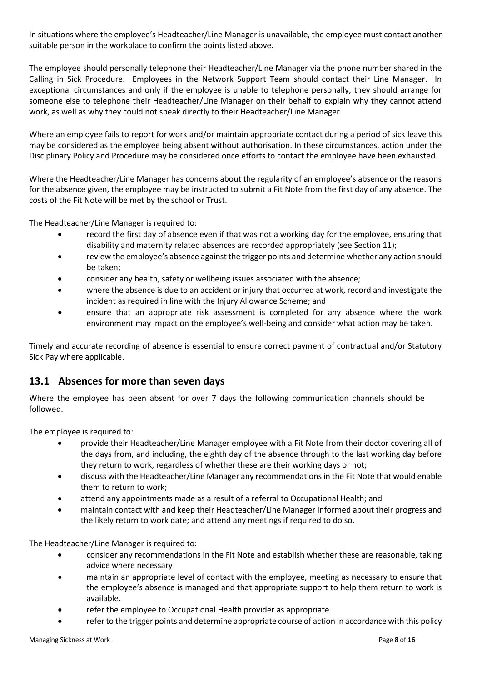In situations where the employee's Headteacher/Line Manager is unavailable, the employee must contact another suitable person in the workplace to confirm the points listed above.

The employee should personally telephone their Headteacher/Line Manager via the phone number shared in the Calling in Sick Procedure. Employees in the Network Support Team should contact their Line Manager. In exceptional circumstances and only if the employee is unable to telephone personally, they should arrange for someone else to telephone their Headteacher/Line Manager on their behalf to explain why they cannot attend work, as well as why they could not speak directly to their Headteacher/Line Manager.

Where an employee fails to report for work and/or maintain appropriate contact during a period of sick leave this may be considered as the employee being absent without authorisation. In these circumstances, action under the Disciplinary Policy and Procedure may be considered once efforts to contact the employee have been exhausted.

Where the Headteacher/Line Manager has concerns about the regularity of an employee's absence or the reasons for the absence given, the employee may be instructed to submit a Fit Note from the first day of any absence. The costs of the Fit Note will be met by the school or Trust.

The Headteacher/Line Manager is required to:

- record the first day of absence even if that was not a working day for the employee, ensuring that disability and maternity related absences are recorded appropriately (see Section 11);
- review the employee's absence against the trigger points and determine whether any action should be taken;
- consider any health, safety or wellbeing issues associated with the absence;
- where the absence is due to an accident or injury that occurred at work, record and investigate the incident as required in line with the Injury Allowance Scheme; and
- ensure that an appropriate risk assessment is completed for any absence where the work environment may impact on the employee's well-being and consider what action may be taken.

Timely and accurate recording of absence is essential to ensure correct payment of contractual and/or Statutory Sick Pay where applicable.

#### <span id="page-7-0"></span>**13.1 Absences for more than seven days**

Where the employee has been absent for over 7 days the following communication channels should be followed.

The employee is required to:

- provide their Headteacher/Line Manager employee with a Fit Note from their doctor covering all of the days from, and including, the eighth day of the absence through to the last working day before they return to work, regardless of whether these are their working days or not;
- discuss with the Headteacher/Line Manager any recommendations in the Fit Note that would enable them to return to work;
- attend any appointments made as a result of a referral to Occupational Health; and
- maintain contact with and keep their Headteacher/Line Manager informed about their progress and the likely return to work date; and attend any meetings if required to do so.

The Headteacher/Line Manager is required to:

- consider any recommendations in the Fit Note and establish whether these are reasonable, taking advice where necessary
- maintain an appropriate level of contact with the employee, meeting as necessary to ensure that the employee's absence is managed and that appropriate support to help them return to work is available.
- refer the employee to Occupational Health provider as appropriate
- refer to the trigger points and determine appropriate course of action in accordance with this policy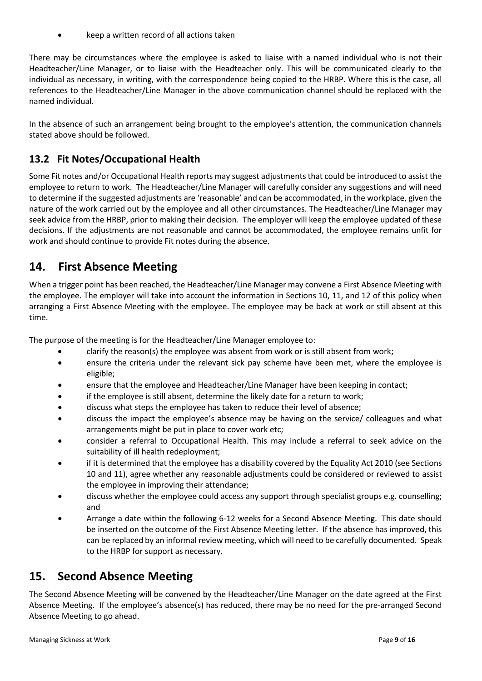• keep a written record of all actions taken

There may be circumstances where the employee is asked to liaise with a named individual who is not their Headteacher/Line Manager, or to liaise with the Headteacher only. This will be communicated clearly to the individual as necessary, in writing, with the correspondence being copied to the HRBP. Where this is the case, all references to the Headteacher/Line Manager in the above communication channel should be replaced with the named individual.

In the absence of such an arrangement being brought to the employee's attention, the communication channels stated above should be followed.

#### <span id="page-8-0"></span>**13.2 Fit Notes/Occupational Health**

Some Fit notes and/or Occupational Health reports may suggest adjustments that could be introduced to assist the employee to return to work. The Headteacher/Line Manager will carefully consider any suggestions and will need to determine if the suggested adjustments are 'reasonable' and can be accommodated, in the workplace, given the nature of the work carried out by the employee and all other circumstances. The Headteacher/Line Manager may seek advice from the HRBP, prior to making their decision. The employer will keep the employee updated of these decisions. If the adjustments are not reasonable and cannot be accommodated, the employee remains unfit for work and should continue to provide Fit notes during the absence.

### <span id="page-8-1"></span>**14. First Absence Meeting**

When a trigger point has been reached, the Headteacher/Line Manager may convene a First Absence Meeting with the employee. The employer will take into account the information in Sections 10, 11, and 12 of this policy when arranging a First Absence Meeting with the employee. The employee may be back at work or still absent at this time.

The purpose of the meeting is for the Headteacher/Line Manager employee to:

- clarify the reason(s) the employee was absent from work or is still absent from work;
- ensure the criteria under the relevant sick pay scheme have been met, where the employee is eligible;
- ensure that the employee and Headteacher/Line Manager have been keeping in contact;
- if the employee is still absent, determine the likely date for a return to work;
- discuss what steps the employee has taken to reduce their level of absence;
- discuss the impact the employee's absence may be having on the service/ colleagues and what arrangements might be put in place to cover work etc;
- consider a referral to Occupational Health. This may include a referral to seek advice on the suitability of ill health redeployment;
- if it is determined that the employee has a disability covered by the Equality Act 2010 (see Sections 10 and 11), agree whether any reasonable adjustments could be considered or reviewed to assist the employee in improving their attendance;
- discuss whether the employee could access any support through specialist groups e.g. counselling; and
- Arrange a date within the following 6-12 weeks for a Second Absence Meeting. This date should be inserted on the outcome of the First Absence Meeting letter. If the absence has improved, this can be replaced by an informal review meeting, which will need to be carefully documented. Speak to the HRBP for support as necessary.

#### <span id="page-8-2"></span>**15. Second Absence Meeting**

The Second Absence Meeting will be convened by the Headteacher/Line Manager on the date agreed at the First Absence Meeting. If the employee's absence(s) has reduced, there may be no need for the pre-arranged Second Absence Meeting to go ahead.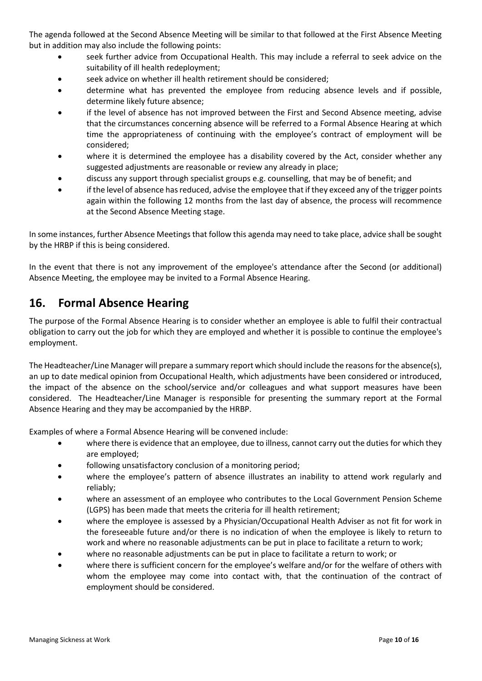The agenda followed at the Second Absence Meeting will be similar to that followed at the First Absence Meeting but in addition may also include the following points:

- seek further advice from Occupational Health. This may include a referral to seek advice on the suitability of ill health redeployment;
- seek advice on whether ill health retirement should be considered;
- determine what has prevented the employee from reducing absence levels and if possible, determine likely future absence;
- if the level of absence has not improved between the First and Second Absence meeting, advise that the circumstances concerning absence will be referred to a Formal Absence Hearing at which time the appropriateness of continuing with the employee's contract of employment will be considered;
- where it is determined the employee has a disability covered by the Act, consider whether any suggested adjustments are reasonable or review any already in place;
- discuss any support through specialist groups e.g. counselling, that may be of benefit; and
- if the level of absence has reduced, advise the employee that if they exceed any of the trigger points again within the following 12 months from the last day of absence, the process will recommence at the Second Absence Meeting stage.

In some instances, further Absence Meetings that follow this agenda may need to take place, advice shall be sought by the HRBP if this is being considered.

In the event that there is not any improvement of the employee's attendance after the Second (or additional) Absence Meeting, the employee may be invited to a Formal Absence Hearing.

#### <span id="page-9-0"></span>**16. Formal Absence Hearing**

The purpose of the Formal Absence Hearing is to consider whether an employee is able to fulfil their contractual obligation to carry out the job for which they are employed and whether it is possible to continue the employee's employment.

The Headteacher/Line Manager will prepare a summary report which should include the reasons for the absence(s), an up to date medical opinion from Occupational Health, which adjustments have been considered or introduced, the impact of the absence on the school/service and/or colleagues and what support measures have been considered. The Headteacher/Line Manager is responsible for presenting the summary report at the Formal Absence Hearing and they may be accompanied by the HRBP.

Examples of where a Formal Absence Hearing will be convened include:

- where there is evidence that an employee, due to illness, cannot carry out the duties for which they are employed;
- following unsatisfactory conclusion of a monitoring period;
- where the employee's pattern of absence illustrates an inability to attend work regularly and reliably;
- where an assessment of an employee who contributes to the Local Government Pension Scheme (LGPS) has been made that meets the criteria for ill health retirement;
- where the employee is assessed by a Physician/Occupational Health Adviser as not fit for work in the foreseeable future and/or there is no indication of when the employee is likely to return to work and where no reasonable adjustments can be put in place to facilitate a return to work;
- where no reasonable adjustments can be put in place to facilitate a return to work; or
- where there is sufficient concern for the employee's welfare and/or for the welfare of others with whom the employee may come into contact with, that the continuation of the contract of employment should be considered.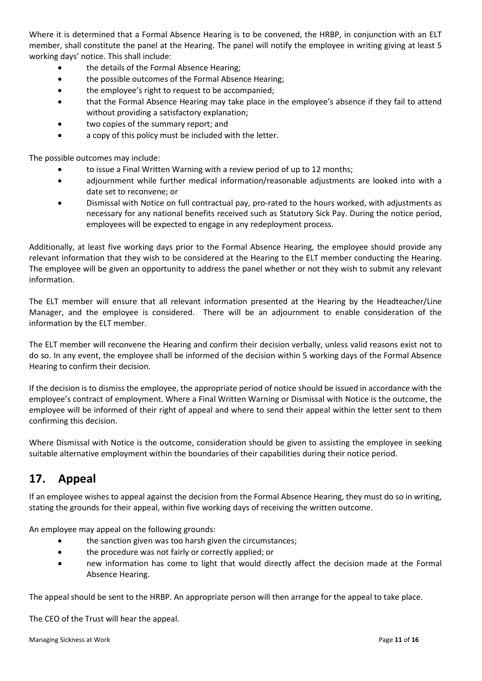Where it is determined that a Formal Absence Hearing is to be convened, the HRBP, in conjunction with an ELT member, shall constitute the panel at the Hearing. The panel will notify the employee in writing giving at least 5 working days' notice. This shall include:

- the details of the Formal Absence Hearing:
- the possible outcomes of the Formal Absence Hearing;
- the employee's right to request to be accompanied;
- that the Formal Absence Hearing may take place in the employee's absence if they fail to attend without providing a satisfactory explanation;
- two copies of the summary report; and
- a copy of this policy must be included with the letter.

The possible outcomes may include:

- to issue a Final Written Warning with a review period of up to 12 months;
- adjournment while further medical information/reasonable adjustments are looked into with a date set to reconvene; or
- Dismissal with Notice on full contractual pay, pro-rated to the hours worked, with adjustments as necessary for any national benefits received such as Statutory Sick Pay. During the notice period, employees will be expected to engage in any redeployment process.

Additionally, at least five working days prior to the Formal Absence Hearing, the employee should provide any relevant information that they wish to be considered at the Hearing to the ELT member conducting the Hearing. The employee will be given an opportunity to address the panel whether or not they wish to submit any relevant information.

The ELT member will ensure that all relevant information presented at the Hearing by the Headteacher/Line Manager, and the employee is considered. There will be an adjournment to enable consideration of the information by the ELT member.

The ELT member will reconvene the Hearing and confirm their decision verbally, unless valid reasons exist not to do so. In any event, the employee shall be informed of the decision within 5 working days of the Formal Absence Hearing to confirm their decision.

If the decision is to dismiss the employee, the appropriate period of notice should be issued in accordance with the employee's contract of employment. Where a Final Written Warning or Dismissal with Notice is the outcome, the employee will be informed of their right of appeal and where to send their appeal within the letter sent to them confirming this decision.

Where Dismissal with Notice is the outcome, consideration should be given to assisting the employee in seeking suitable alternative employment within the boundaries of their capabilities during their notice period.

# <span id="page-10-0"></span>**17. Appeal**

If an employee wishes to appeal against the decision from the Formal Absence Hearing, they must do so in writing, stating the grounds for their appeal, within five working days of receiving the written outcome.

An employee may appeal on the following grounds:

- the sanction given was too harsh given the circumstances;
- the procedure was not fairly or correctly applied; or
- new information has come to light that would directly affect the decision made at the Formal Absence Hearing.

The appeal should be sent to the HRBP. An appropriate person will then arrange for the appeal to take place.

The CEO of the Trust will hear the appeal.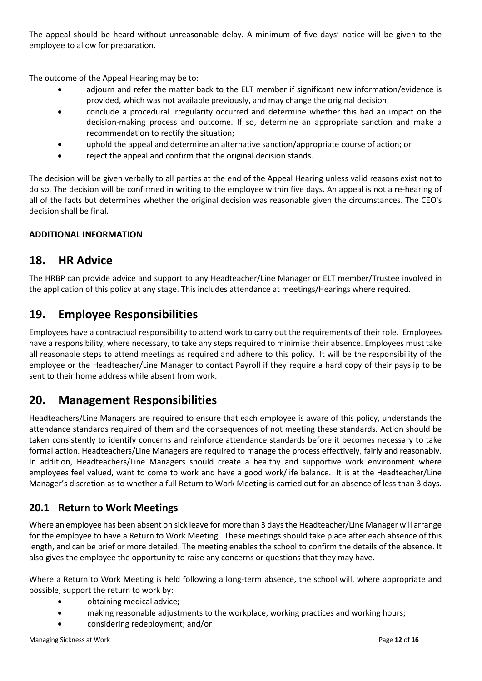The appeal should be heard without unreasonable delay. A minimum of five days' notice will be given to the employee to allow for preparation.

The outcome of the Appeal Hearing may be to:

- adjourn and refer the matter back to the ELT member if significant new information/evidence is provided, which was not available previously, and may change the original decision;
- conclude a procedural irregularity occurred and determine whether this had an impact on the decision-making process and outcome. If so, determine an appropriate sanction and make a recommendation to rectify the situation;
- uphold the appeal and determine an alternative sanction/appropriate course of action; or
- reject the appeal and confirm that the original decision stands.

The decision will be given verbally to all parties at the end of the Appeal Hearing unless valid reasons exist not to do so. The decision will be confirmed in writing to the employee within five days. An appeal is not a re-hearing of all of the facts but determines whether the original decision was reasonable given the circumstances. The CEO's decision shall be final.

#### **ADDITIONAL INFORMATION**

#### <span id="page-11-0"></span>**18. HR Advice**

The HRBP can provide advice and support to any Headteacher/Line Manager or ELT member/Trustee involved in the application of this policy at any stage. This includes attendance at meetings/Hearings where required.

#### <span id="page-11-1"></span>**19. Employee Responsibilities**

Employees have a contractual responsibility to attend work to carry out the requirements of their role. Employees have a responsibility, where necessary, to take any steps required to minimise their absence. Employees must take all reasonable steps to attend meetings as required and adhere to this policy. It will be the responsibility of the employee or the Headteacher/Line Manager to contact Payroll if they require a hard copy of their payslip to be sent to their home address while absent from work.

### <span id="page-11-2"></span>**20. Management Responsibilities**

Headteachers/Line Managers are required to ensure that each employee is aware of this policy, understands the attendance standards required of them and the consequences of not meeting these standards. Action should be taken consistently to identify concerns and reinforce attendance standards before it becomes necessary to take formal action. Headteachers/Line Managers are required to manage the process effectively, fairly and reasonably. In addition, Headteachers/Line Managers should create a healthy and supportive work environment where employees feel valued, want to come to work and have a good work/life balance. It is at the Headteacher/Line Manager's discretion as to whether a full Return to Work Meeting is carried out for an absence of less than 3 days.

#### <span id="page-11-3"></span>**20.1 Return to Work Meetings**

Where an employee has been absent on sick leave for more than 3 days the Headteacher/Line Manager will arrange for the employee to have a Return to Work Meeting. These meetings should take place after each absence of this length, and can be brief or more detailed. The meeting enables the school to confirm the details of the absence. It also gives the employee the opportunity to raise any concerns or questions that they may have.

Where a Return to Work Meeting is held following a long-term absence, the school will, where appropriate and possible, support the return to work by:

- obtaining medical advice;
- making reasonable adjustments to the workplace, working practices and working hours;
- considering redeployment; and/or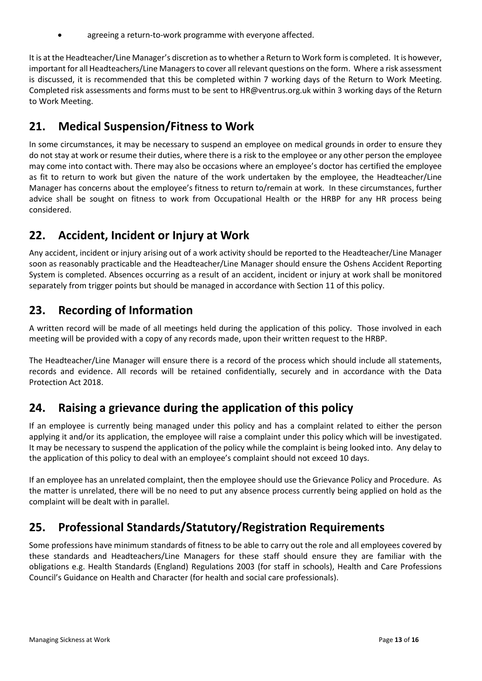agreeing a return-to-work programme with everyone affected.

It is at the Headteacher/Line Manager's discretion as to whether a Return to Work form is completed. It is however, important for all Headteachers/Line Managers to cover all relevant questions on the form. Where a risk assessment is discussed, it is recommended that this be completed within 7 working days of the Return to Work Meeting. Completed risk assessments and forms must to be sent to [HR@ventrus.org.uk](mailto:HR@ventrus.org.uk) within 3 working days of the Return to Work Meeting.

# <span id="page-12-0"></span>**21. Medical Suspension/Fitness to Work**

In some circumstances, it may be necessary to suspend an employee on medical grounds in order to ensure they do not stay at work or resume their duties, where there is a risk to the employee or any other person the employee may come into contact with. There may also be occasions where an employee's doctor has certified the employee as fit to return to work but given the nature of the work undertaken by the employee, the Headteacher/Line Manager has concerns about the employee's fitness to return to/remain at work. In these circumstances, further advice shall be sought on fitness to work from Occupational Health or the HRBP for any HR process being considered.

### <span id="page-12-1"></span>**22. Accident, Incident or Injury at Work**

Any accident, incident or injury arising out of a work activity should be reported to the Headteacher/Line Manager soon as reasonably practicable and the Headteacher/Line Manager should ensure the Oshens Accident Reporting System is completed. Absences occurring as a result of an accident, incident or injury at work shall be monitored separately from trigger points but should be managed in accordance with Section 11 of this policy.

# <span id="page-12-2"></span>**23. Recording of Information**

A written record will be made of all meetings held during the application of this policy. Those involved in each meeting will be provided with a copy of any records made, upon their written request to the HRBP.

The Headteacher/Line Manager will ensure there is a record of the process which should include all statements, records and evidence. All records will be retained confidentially, securely and in accordance with the Data Protection Act 2018.

# <span id="page-12-3"></span>**24. Raising a grievance during the application of this policy**

If an employee is currently being managed under this policy and has a complaint related to either the person applying it and/or its application, the employee will raise a complaint under this policy which will be investigated. It may be necessary to suspend the application of the policy while the complaint is being looked into. Any delay to the application of this policy to deal with an employee's complaint should not exceed 10 days.

If an employee has an unrelated complaint, then the employee should use the Grievance Policy and Procedure. As the matter is unrelated, there will be no need to put any absence process currently being applied on hold as the complaint will be dealt with in parallel.

# <span id="page-12-4"></span>**25. Professional Standards/Statutory/Registration Requirements**

Some professions have minimum standards of fitness to be able to carry out the role and all employees covered by these standards and Headteachers/Line Managers for these staff should ensure they are familiar with the obligations e.g. Health Standards (England) Regulations 2003 (for staff in schools), Health and Care Professions Council's Guidance on Health and Character (for health and social care professionals).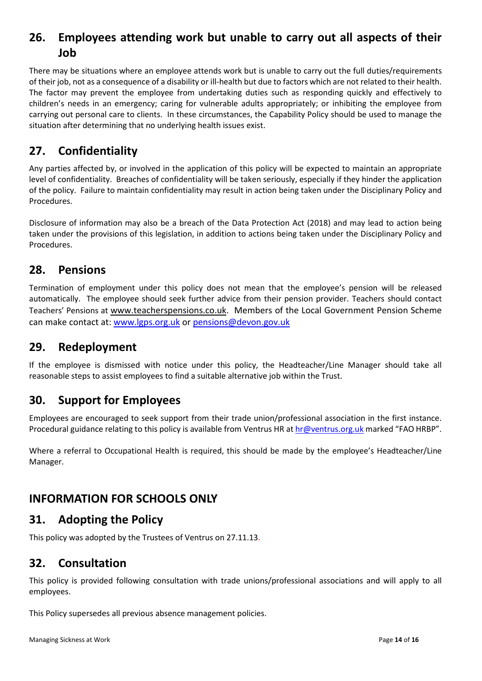# <span id="page-13-0"></span>**26. Employees attending work but unable to carry out all aspects of their Job**

There may be situations where an employee attends work but is unable to carry out the full duties/requirements of their job, not as a consequence of a disability or ill-health but due to factors which are not related to their health. The factor may prevent the employee from undertaking duties such as responding quickly and effectively to children's needs in an emergency; caring for vulnerable adults appropriately; or inhibiting the employee from carrying out personal care to clients. In these circumstances, the Capability Policy should be used to manage the situation after determining that no underlying health issues exist.

### <span id="page-13-1"></span>**27. Confidentiality**

Any parties affected by, or involved in the application of this policy will be expected to maintain an appropriate level of confidentiality. Breaches of confidentiality will be taken seriously, especially if they hinder the application of the policy. Failure to maintain confidentiality may result in action being taken under the Disciplinary Policy and Procedures.

Disclosure of information may also be a breach of the Data Protection Act (2018) and may lead to action being taken under the provisions of this legislation, in addition to actions being taken under the Disciplinary Policy and Procedures.

#### <span id="page-13-2"></span>**28. Pensions**

Termination of employment under this policy does not mean that the employee's pension will be released automatically. The employee should seek further advice from their pension provider. Teachers should contact Teachers' Pensions at [www.teacherspensions.co.uk.](http://www.teacherspensions.co.uk/) Members of the Local Government Pension Scheme can make contact at: [www.lgps.org.uk](http://www.lgps.org.uk/) or [pensions@devon.gov.uk](mailto:pensions@devon.gov.uk)

#### <span id="page-13-3"></span>**29. Redeployment**

If the employee is dismissed with notice under this policy, the Headteacher/Line Manager should take all reasonable steps to assist employees to find a suitable alternative job within the Trust.

### <span id="page-13-4"></span>**30. Support for Employees**

Employees are encouraged to seek support from their trade union/professional association in the first instance. Procedural guidance relating to this policy is available from Ventrus HR at [hr@ventrus.org.uk](mailto:hr@ventrus.org.uk) marked "FAO HRBP".

Where a referral to Occupational Health is required, this should be made by the employee's Headteacher/Line Manager.

### <span id="page-13-5"></span>**INFORMATION FOR SCHOOLS ONLY**

#### <span id="page-13-6"></span>**31. Adopting the Policy**

This policy was adopted by the Trustees of Ventrus on 27.11.13.

#### <span id="page-13-7"></span>**32. Consultation**

This policy is provided following consultation with trade unions/professional associations and will apply to all employees.

This Policy supersedes all previous absence management policies.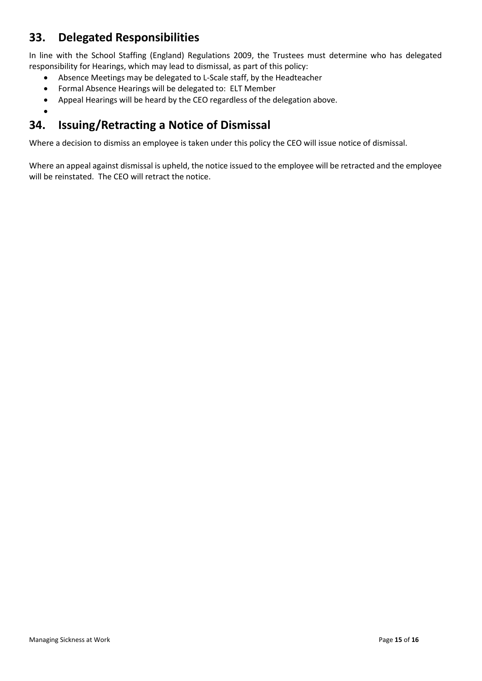### <span id="page-14-0"></span>**33. Delegated Responsibilities**

•

In line with the School Staffing (England) Regulations 2009, the Trustees must determine who has delegated responsibility for Hearings, which may lead to dismissal, as part of this policy:

- Absence Meetings may be delegated to L-Scale staff, by the Headteacher
- Formal Absence Hearings will be delegated to: ELT Member
- Appeal Hearings will be heard by the CEO regardless of the delegation above.

# <span id="page-14-1"></span>**34. Issuing/Retracting a Notice of Dismissal**

Where a decision to dismiss an employee is taken under this policy the CEO will issue notice of dismissal.

Where an appeal against dismissal is upheld, the notice issued to the employee will be retracted and the employee will be reinstated. The CEO will retract the notice.